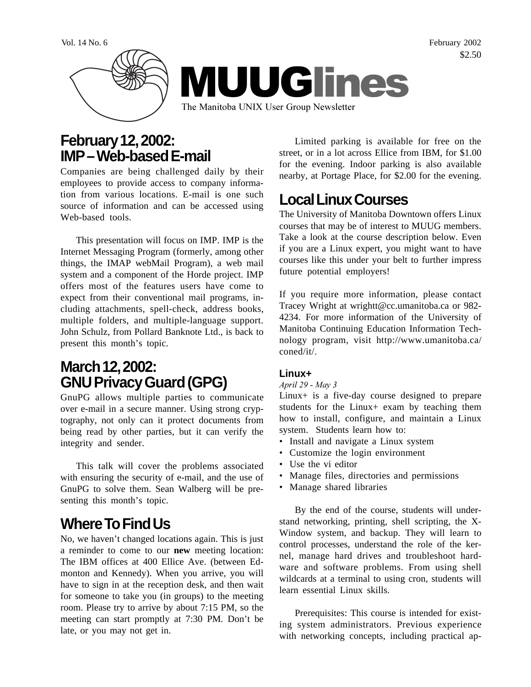Vol. 14 No. 6 February 2002 \$2.50



#### **February 12, 2002: IMP – Web-based E-mail**

Companies are being challenged daily by their employees to provide access to company information from various locations. E-mail is one such source of information and can be accessed using Web-based tools.

This presentation will focus on IMP. IMP is the Internet Messaging Program (formerly, among other things, the IMAP webMail Program), a web mail system and a component of the Horde project. IMP offers most of the features users have come to expect from their conventional mail programs, including attachments, spell-check, address books, multiple folders, and multiple-language support. John Schulz, from Pollard Banknote Ltd., is back to present this month's topic.

# **March 12, 2002: GNU Privacy Guard (GPG)**

GnuPG allows multiple parties to communicate over e-mail in a secure manner. Using strong cryptography, not only can it protect documents from being read by other parties, but it can verify the integrity and sender.

This talk will cover the problems associated with ensuring the security of e-mail, and the use of GnuPG to solve them. Sean Walberg will be presenting this month's topic.

# **Where To Find Us**

No, we haven't changed locations again. This is just a reminder to come to our **new** meeting location: The IBM offices at 400 Ellice Ave. (between Edmonton and Kennedy). When you arrive, you will have to sign in at the reception desk, and then wait for someone to take you (in groups) to the meeting room. Please try to arrive by about 7:15 PM, so the meeting can start promptly at 7:30 PM. Don't be late, or you may not get in.

Limited parking is available for free on the street, or in a lot across Ellice from IBM, for \$1.00 for the evening. Indoor parking is also available nearby, at Portage Place, for \$2.00 for the evening.

# **Local Linux Courses**

The University of Manitoba Downtown offers Linux courses that may be of interest to MUUG members. Take a look at the course description below. Even if you are a Linux expert, you might want to have courses like this under your belt to further impress future potential employers!

If you require more information, please contact Tracey Wright at wrightt@cc.umanitoba.ca or 982- 4234. For more information of the University of Manitoba Continuing Education Information Technology program, visit http://www.umanitoba.ca/ coned/it/.

#### **Linux+**

*April 29 - May 3*

Linux+ is a five-day course designed to prepare students for the Linux+ exam by teaching them how to install, configure, and maintain a Linux system. Students learn how to:

- Install and navigate a Linux system
- Customize the login environment
- Use the vi editor
- Manage files, directories and permissions
- Manage shared libraries

By the end of the course, students will understand networking, printing, shell scripting, the X-Window system, and backup. They will learn to control processes, understand the role of the kernel, manage hard drives and troubleshoot hardware and software problems. From using shell wildcards at a terminal to using cron, students will learn essential Linux skills.

Prerequisites: This course is intended for existing system administrators. Previous experience with networking concepts, including practical ap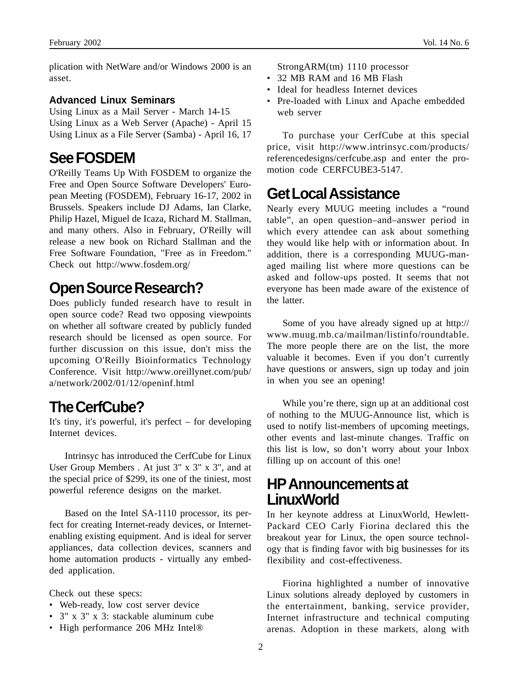plication with NetWare and/or Windows 2000 is an asset.

#### **Advanced Linux Seminars**

Using Linux as a Mail Server - March 14-15 Using Linux as a Web Server (Apache) - April 15 Using Linux as a File Server (Samba) - April 16, 17

## **See FOSDEM**

O'Reilly Teams Up With FOSDEM to organize the Free and Open Source Software Developers' European Meeting (FOSDEM), February 16-17, 2002 in Brussels. Speakers include DJ Adams, Ian Clarke, Philip Hazel, Miguel de Icaza, Richard M. Stallman, and many others. Also in February, O'Reilly will release a new book on Richard Stallman and the Free Software Foundation, "Free as in Freedom." Check out http://www.fosdem.org/

## **Open Source Research?**

Does publicly funded research have to result in open source code? Read two opposing viewpoints on whether all software created by publicly funded research should be licensed as open source. For further discussion on this issue, don't miss the upcoming O'Reilly Bioinformatics Technology Conference. Visit http://www.oreillynet.com/pub/ a/network/2002/01/12/openinf.html

## **The CerfCube?**

It's tiny, it's powerful, it's perfect – for developing Internet devices.

Intrinsyc has introduced the CerfCube for Linux User Group Members . At just 3" x 3" x 3", and at the special price of \$299, its one of the tiniest, most powerful reference designs on the market.

Based on the Intel SA-1110 processor, its perfect for creating Internet-ready devices, or Internetenabling existing equipment. And is ideal for server appliances, data collection devices, scanners and home automation products - virtually any embedded application.

Check out these specs:

- Web-ready, low cost server device
- 3" x 3" x 3: stackable aluminum cube
- High performance 206 MHz Intel®

StrongARM(tm) 1110 processor

- 32 MB RAM and 16 MB Flash
- Ideal for headless Internet devices
- Pre-loaded with Linux and Apache embedded web server

To purchase your CerfCube at this special price, visit http://www.intrinsyc.com/products/ referencedesigns/cerfcube.asp and enter the promotion code CERFCUBE3-5147.

#### **Get Local Assistance**

Nearly every MUUG meeting includes a "round table", an open question–and–answer period in which every attendee can ask about something they would like help with or information about. In addition, there is a corresponding MUUG-managed mailing list where more questions can be asked and follow-ups posted. It seems that not everyone has been made aware of the existence of the latter.

Some of you have already signed up at http:// www.muug.mb.ca/mailman/listinfo/roundtable. The more people there are on the list, the more valuable it becomes. Even if you don't currently have questions or answers, sign up today and join in when you see an opening!

While you're there, sign up at an additional cost of nothing to the MUUG-Announce list, which is used to notify list-members of upcoming meetings, other events and last-minute changes. Traffic on this list is low, so don't worry about your Inbox filling up on account of this one!

#### **HP Announcements at LinuxWorld**

In her keynote address at LinuxWorld, Hewlett-Packard CEO Carly Fiorina declared this the breakout year for Linux, the open source technology that is finding favor with big businesses for its flexibility and cost-effectiveness.

Fiorina highlighted a number of innovative Linux solutions already deployed by customers in the entertainment, banking, service provider, Internet infrastructure and technical computing arenas. Adoption in these markets, along with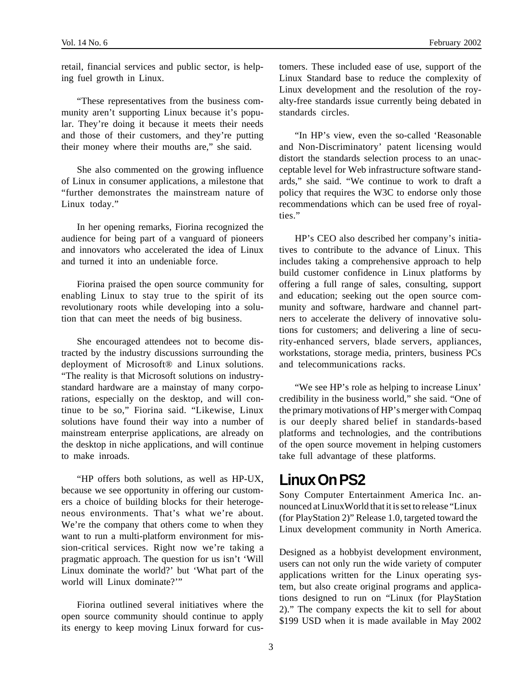retail, financial services and public sector, is helping fuel growth in Linux.

"These representatives from the business community aren't supporting Linux because it's popular. They're doing it because it meets their needs and those of their customers, and they're putting their money where their mouths are," she said.

She also commented on the growing influence of Linux in consumer applications, a milestone that "further demonstrates the mainstream nature of Linux today."

In her opening remarks, Fiorina recognized the audience for being part of a vanguard of pioneers and innovators who accelerated the idea of Linux and turned it into an undeniable force.

Fiorina praised the open source community for enabling Linux to stay true to the spirit of its revolutionary roots while developing into a solution that can meet the needs of big business.

She encouraged attendees not to become distracted by the industry discussions surrounding the deployment of Microsoft® and Linux solutions. "The reality is that Microsoft solutions on industrystandard hardware are a mainstay of many corporations, especially on the desktop, and will continue to be so," Fiorina said. "Likewise, Linux solutions have found their way into a number of mainstream enterprise applications, are already on the desktop in niche applications, and will continue to make inroads.

"HP offers both solutions, as well as HP-UX, because we see opportunity in offering our customers a choice of building blocks for their heterogeneous environments. That's what we're about. We're the company that others come to when they want to run a multi-platform environment for mission-critical services. Right now we're taking a pragmatic approach. The question for us isn't 'Will Linux dominate the world?' but 'What part of the world will Linux dominate?'"

Fiorina outlined several initiatives where the open source community should continue to apply its energy to keep moving Linux forward for cus-

tomers. These included ease of use, support of the Linux Standard base to reduce the complexity of Linux development and the resolution of the royalty-free standards issue currently being debated in standards circles.

"In HP's view, even the so-called 'Reasonable and Non-Discriminatory' patent licensing would distort the standards selection process to an unacceptable level for Web infrastructure software standards," she said. "We continue to work to draft a policy that requires the W3C to endorse only those recommendations which can be used free of royalties."

HP's CEO also described her company's initiatives to contribute to the advance of Linux. This includes taking a comprehensive approach to help build customer confidence in Linux platforms by offering a full range of sales, consulting, support and education; seeking out the open source community and software, hardware and channel partners to accelerate the delivery of innovative solutions for customers; and delivering a line of security-enhanced servers, blade servers, appliances, workstations, storage media, printers, business PCs and telecommunications racks.

"We see HP's role as helping to increase Linux' credibility in the business world," she said. "One of the primary motivations of HP's merger with Compaq is our deeply shared belief in standards-based platforms and technologies, and the contributions of the open source movement in helping customers take full advantage of these platforms.

#### **Linux On PS2**

Sony Computer Entertainment America Inc. announced at LinuxWorld that it is set to release "Linux (for PlayStation 2)" Release 1.0, targeted toward the Linux development community in North America.

Designed as a hobbyist development environment, users can not only run the wide variety of computer applications written for the Linux operating system, but also create original programs and applications designed to run on "Linux (for PlayStation 2)." The company expects the kit to sell for about \$199 USD when it is made available in May 2002